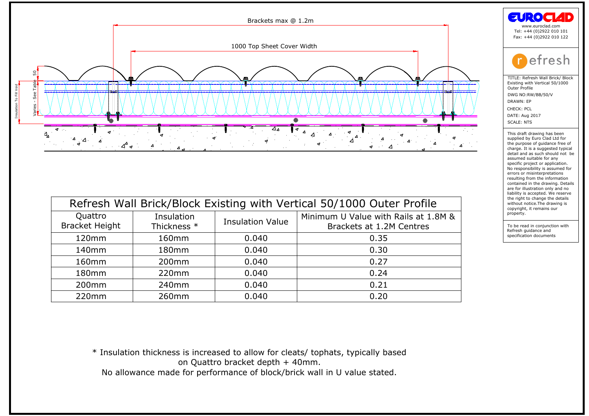

| $\blacktriangledown$<br>$\frac{4}{9}$ $\frac{4}{9}$<br>$4^4$ $\sigma$ |                                                                                   |                                  |                                      |  |  |  |
|-----------------------------------------------------------------------|-----------------------------------------------------------------------------------|----------------------------------|--------------------------------------|--|--|--|
|                                                                       |                                                                                   |                                  |                                      |  |  |  |
|                                                                       |                                                                                   |                                  |                                      |  |  |  |
|                                                                       |                                                                                   |                                  |                                      |  |  |  |
|                                                                       | Refresh Wall Brick/Block Existing with Vertical 50/1000 Outer Profile             |                                  |                                      |  |  |  |
| Quattro                                                               | Insulation                                                                        | <b>Insulation Value</b>          | Minimum U Value with Rails at 1.8M & |  |  |  |
| <b>Bracket Height</b>                                                 | Thickness *                                                                       | Brackets at 1.2M Centres         |                                      |  |  |  |
| 120mm                                                                 | 160mm                                                                             | 0.040                            | 0.35                                 |  |  |  |
| 140mm                                                                 | 180mm                                                                             | 0.040                            | 0.30                                 |  |  |  |
| 160mm                                                                 | 200mm                                                                             | 0.040                            | 0.27                                 |  |  |  |
| 180mm                                                                 | 220mm                                                                             | 0.040                            | 0.24                                 |  |  |  |
| 200mm                                                                 | 240mm                                                                             | 0.040                            | 0.21                                 |  |  |  |
| 220mm                                                                 | 260mm                                                                             | 0.040                            | 0.20                                 |  |  |  |
|                                                                       |                                                                                   |                                  |                                      |  |  |  |
|                                                                       |                                                                                   |                                  |                                      |  |  |  |
|                                                                       |                                                                                   |                                  |                                      |  |  |  |
|                                                                       |                                                                                   |                                  |                                      |  |  |  |
|                                                                       | * Insulation thickness is increased to allow for cleats/ tophats, typically based |                                  |                                      |  |  |  |
|                                                                       |                                                                                   | on Quattro bracket depth + 40mm. |                                      |  |  |  |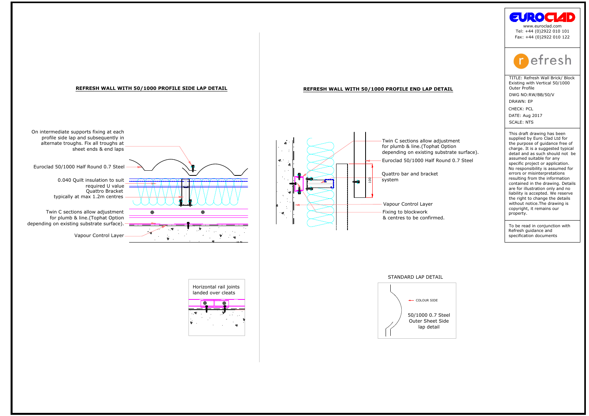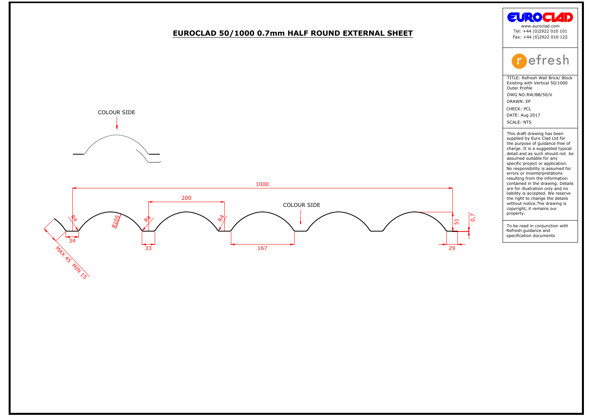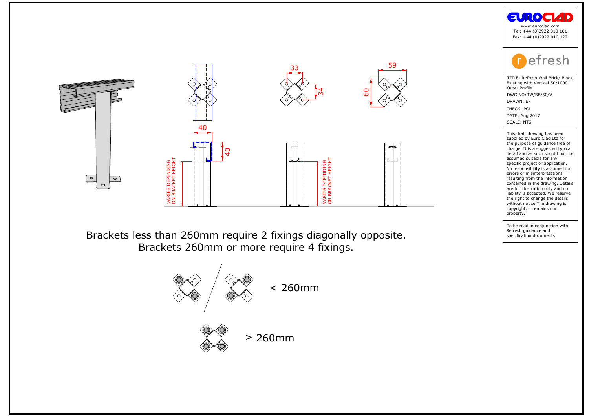